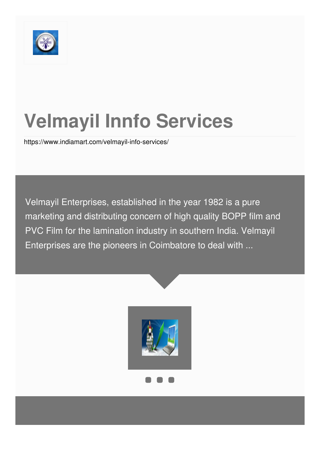

# **Velmayil Innfo Services**

<https://www.indiamart.com/velmayil-info-services/>

Velmayil Enterprises, established in the year 1982 is a pure marketing and distributing concern of high quality BOPP film and PVC Film for the lamination industry in southern India. Velmayil Enterprises are the pioneers in Coimbatore to deal with ...

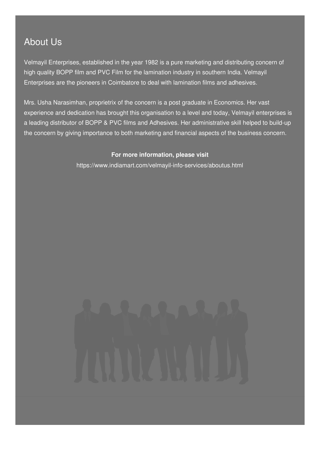### About Us

Velmayil Enterprises, established in the year 1982 is a pure marketing and distributing concern of high quality BOPP film and PVC Film for the lamination industry in southern India. Velmayil Enterprises are the pioneers in Coimbatore to deal with lamination films and adhesives.

Mrs. Usha Narasimhan, proprietrix of the concern is a post graduate in Economics. Her vast experience and dedication has brought this organisation to a level and today, Velmayil enterprises is a leading distributor of BOPP & PVC films and Adhesives. Her administrative skill helped to build-up the concern by giving importance to both marketing and financial aspects of the business concern.

#### **For more information, please visit**

<https://www.indiamart.com/velmayil-info-services/aboutus.html>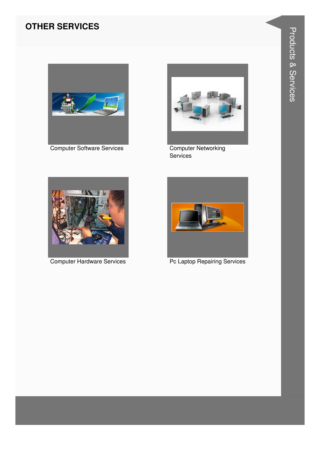#### **OTHER SERVICES**



**Computer Software Services** 



**Computer Networking** Services



**Computer Hardware Services** 



Pc Laptop Repairing Services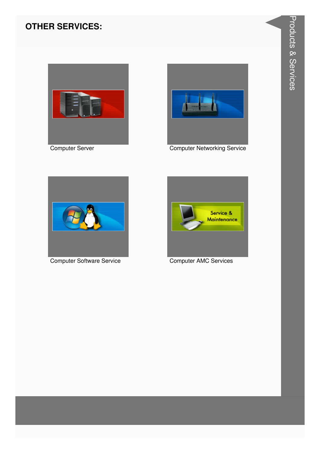#### **OTHER SERVICES:**



**Computer Server** 



**Computer Networking Service** 



**Computer Software Service** 

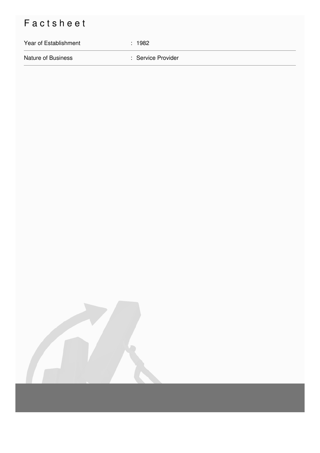## Factsheet

# Year of Establishment : 1982 Nature of Business : Service Provider